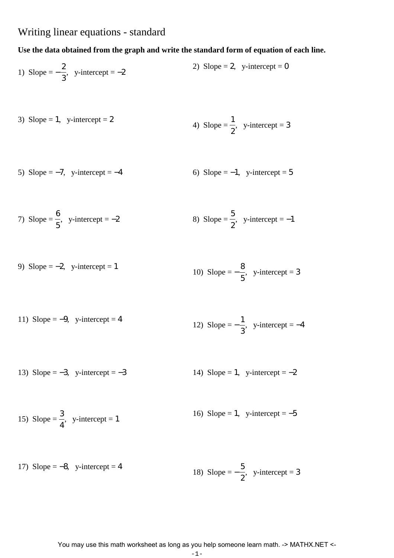## Writing linear equations - standard

## **Use the data obtained from the graph and write the standard form of equation of each line.**

1) Slope = 
$$
-\frac{2}{3}
$$
, y-intercept = -2  
2) Slope = 2, y-intercept = 0

3) Slope = 1, y-intercept = 2  
4) Slope = 
$$
\frac{1}{2}
$$
, y-intercept = 3

5) Slope =  $-7$ , y-intercept =  $-4$  6) Slope =  $-1$ , y-intercept = 5

7) Slope = 
$$
\frac{6}{5}
$$
, y-intercept = -2  
8) Slope =  $\frac{5}{2}$ , y-intercept = -1

9) Slope = -2, y-intercept = 1  
10) Slope = 
$$
-\frac{8}{5}
$$
, y-intercept = 3

11) Slope = -9, y-intercept = 4  
12) Slope = 
$$
-\frac{1}{3}
$$
, y-intercept = -4

13) Slope =  $-3$ , y-intercept =  $-3$  14) Slope = 1, y-intercept =  $-2$ 

15) Slope = 
$$
\frac{3}{4}
$$
, y-intercept = 1  
16) Slope = 1, y-intercept = -5

17) Slope = -8, y-intercept = 4  
18) Slope = 
$$
-\frac{5}{2}
$$
, y-intercept = 3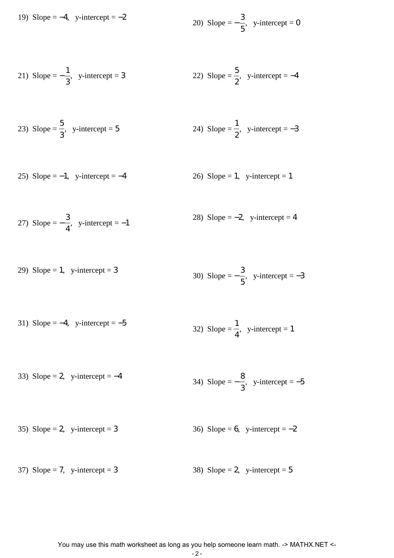19) Slope = -4, y-intercept = -2  
20) Slope = 
$$
-\frac{3}{5}
$$
, y-intercept = 0

21) Slope = 
$$
-\frac{1}{3}
$$
, y-intercept = 3  
22) Slope =  $\frac{5}{2}$ , y-intercept = -4

23) Slope = 
$$
\frac{5}{3}
$$
, y-intercept = 5  
24) Slope =  $\frac{1}{2}$ , y-intercept = -3

25) Slope =  $-1$ , y-intercept =  $-4$  26) Slope = 1, y-intercept = 1

27) Slope = 
$$
-\frac{3}{4}
$$
, y-intercept = -1  
28) Slope = -2, y-intercept = 4

29) Slope = 1, y-intercept = 3  
30) Slope = 
$$
-\frac{3}{5}
$$
, y-intercept = -3

31) Slope = -4, y-intercept = -5  
32) Slope = 
$$
\frac{1}{4}
$$
, y-intercept = 1

33) Slope = 2, y-intercept =  $-4$  $34)$  Slope =  $-$ 8 3  $,$  y-intercept =  $-5$ 

35) Slope = 2, y-intercept = 
$$
3
$$
 36) Slope = 6, y-intercept =  $-2$ 

37) Slope = 7, y-intercept = 3 38) Slope = 2, y-intercept = 5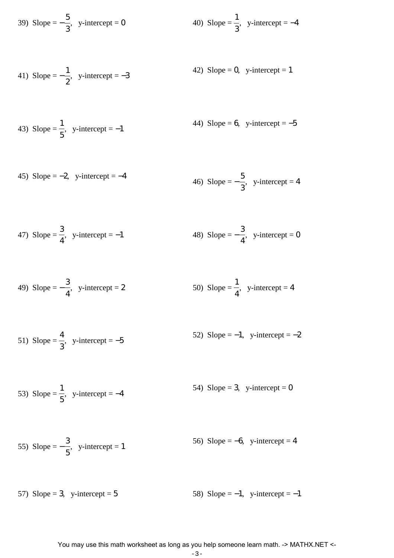39) Slope = 
$$
-\frac{5}{3}
$$
, y-intercept = 0  
40) Slope =  $\frac{1}{3}$ , y-intercept = -4

41) Slope = 
$$
-\frac{1}{2}
$$
, y-intercept = -3  
42) Slope = 0, y-intercept = 1

43) Slope = 
$$
\frac{1}{5}
$$
, y-intercept = -1  
44) Slope = 6, y-intercept = -5

45) Slope = -2, y-intercept = -4  
46) Slope = 
$$
-\frac{5}{3}
$$
, y-intercept = 4

47) Slope = 
$$
\frac{3}{4}
$$
, y-intercept = -1  
48) Slope =  $-\frac{3}{4}$ , y-intercept = 0

49) Slope = 
$$
-\frac{3}{4}
$$
, y-intercept = 2  
50) Slope =  $\frac{1}{4}$ , y-intercept = 4

51) Slope = 
$$
\frac{4}{3}
$$
, y-intercept = -5  
52) Slope = -1, y-intercept = -2

53) Slope = 
$$
\frac{1}{5}
$$
, y-intercept = -4  
54) Slope = 3, y-intercept = 0

55) Slope = 
$$
-\frac{3}{5}
$$
, y-intercept = 1 56) Slope = -6, y-intercept = 4

57) Slope = 3, y-intercept = 5 58) Slope =  $-1$ , y-intercept =  $-1$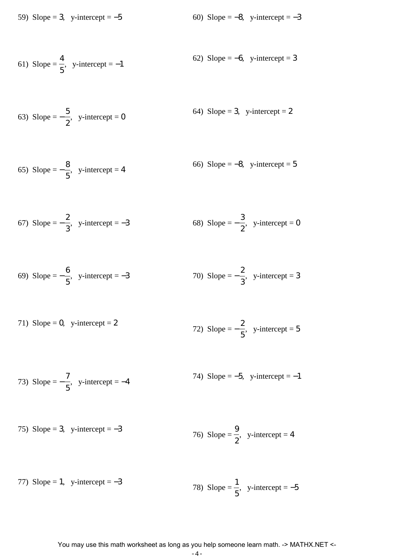59) Slope = 3, y-intercept =  $-5$  60) Slope =  $-8$ , y-intercept =  $-3$ 

61) Slope = 
$$
\frac{4}{5}
$$
, y-intercept = -1  
62) Slope = -6, y-intercept = 3

63) Slope = 
$$
-\frac{5}{2}
$$
, y-intercept = 0  
64) Slope = 3, y-intercept = 2

$$
\text{65) Slope} = -\frac{8}{5}, \quad \text{y-intercept} = 4
$$
\n
$$
\text{66) Slope} = -8, \quad \text{y-intercept} = 5
$$

67) Slope = 
$$
-\frac{2}{3}
$$
, y-intercept = -3  
68) Slope =  $-\frac{3}{2}$ , y-intercept = 0

69) Slope = 
$$
-\frac{6}{5}
$$
, y-intercept = -3  
70) Slope =  $-\frac{2}{3}$ , y-intercept = 3

71) Slope = 0, y-intercept = 2  
72) Slope = 
$$
-\frac{2}{5}
$$
, y-intercept = 5

$$
73) \text{ Slope} = -\frac{7}{5}, \text{ y-intercept} = -4
$$
\n
$$
74) \text{ Slope} = -5, \text{ y-intercept} = -1
$$

75) Slope = 3, y-intercept = -3  
76) Slope = 
$$
\frac{9}{2}
$$
, y-intercept = 4

77) Slope = 1, y-intercept = -3  
78) Slope = 
$$
\frac{1}{5}
$$
, y-intercept = -5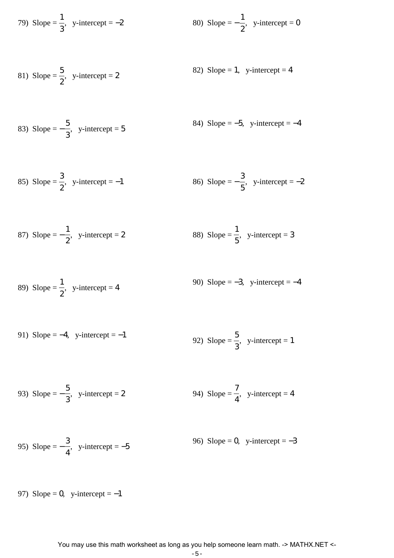79) Slope = 
$$
\frac{1}{3}
$$
, y-intercept = -2  
80) Slope =  $-\frac{1}{2}$ , y-intercept = 0

81) Slope = 
$$
\frac{5}{2}
$$
, y-intercept = 2  
82) Slope = 1, y-intercept = 4

83) Slope = 
$$
-\frac{5}{3}
$$
, y-intercept = 5  
84) Slope = -5, y-intercept = -4

85) Slope = 
$$
\frac{3}{2}
$$
, y-intercept = -1  
86) Slope =  $-\frac{3}{5}$ , y-intercept = -2

87) Slope = 
$$
-\frac{1}{2}
$$
, y-intercept = 2  
88) Slope =  $\frac{1}{5}$ , y-intercept = 3

89) Slope = 
$$
\frac{1}{2}
$$
, y-intercept = 4  
90) Slope = -3, y-intercept = -4

91) Slope = -4, y-intercept = -1  
92) Slope = 
$$
\frac{5}{3}
$$
, y-intercept = 1

93) Slope = 
$$
-\frac{5}{3}
$$
, y-intercept = 2  
94) Slope =  $\frac{7}{4}$ , y-intercept = 4

95) Slope = 
$$
-\frac{3}{4}
$$
, y-intercept = -5  
96) Slope = 0, y-intercept = -3

97) Slope = 0, y-intercept =  $-1$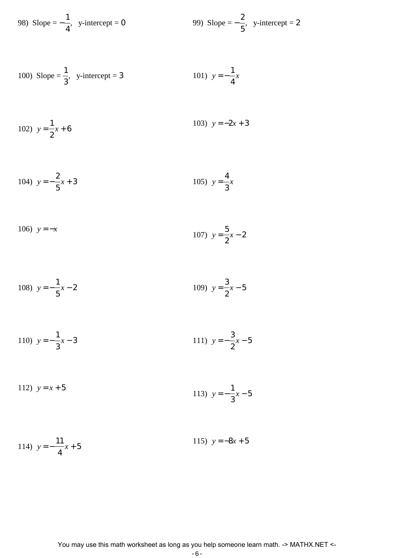98) Slope = 
$$
-\frac{1}{4}
$$
, y-intercept = 0  
99) Slope =  $-\frac{2}{5}$ , y-intercept = 2

100) Slope = 
$$
\frac{1}{3}
$$
, y-intercept = 3  
101)  $y = -\frac{1}{4}x$ 

102) 
$$
y = \frac{1}{2}x + 6
$$
  
103)  $y = -2x + 3$ 

104) 
$$
y = -\frac{2}{5}x + 3
$$
 105)  $y = \frac{4}{3}x$ 

106) 
$$
y = -x
$$
  
107)  $y = \frac{5}{2}x - 2$ 

108) 
$$
y = -\frac{1}{5}x - 2
$$
 109)  $y = \frac{3}{2}x - 5$ 

110) 
$$
y = -\frac{1}{3}x - 3
$$
  
111)  $y = -\frac{3}{2}x - 5$ 

112) 
$$
y = x + 5
$$
  
113)  $y = -\frac{1}{3}x - 5$ 

114) 
$$
y = -\frac{11}{4}x + 5
$$
  
115)  $y = -8x + 5$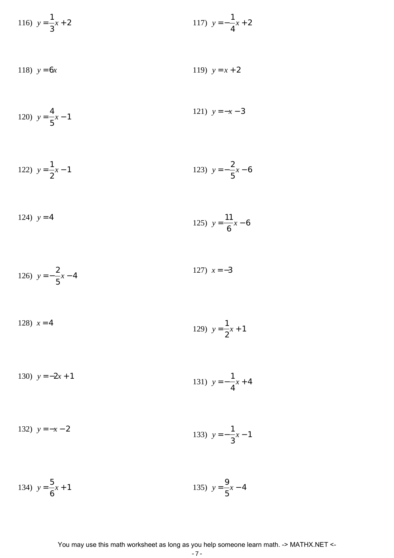116) 
$$
y = \frac{1}{3}x + 2
$$
  
117)  $y = -\frac{1}{4}x + 2$ 

118) 
$$
y = 6x
$$
 119)  $y = x + 2$ 

120) 
$$
y = \frac{4}{5}x - 1
$$
 121)  $y = -x - 3$ 

122) 
$$
y = \frac{1}{2}x - 1
$$
 123)  $y = -\frac{2}{5}x - 6$ 

124) 
$$
y = 4
$$
  
125)  $y = \frac{11}{6}x - 6$ 

126) 
$$
y = -\frac{2}{5}x - 4
$$
 127)  $x = -3$ 

128) 
$$
x = 4
$$
  
129)  $y = \frac{1}{2}x + 1$ 

130) 
$$
y = -2x + 1
$$
  
131)  $y = -\frac{1}{4}x + 4$ 

$$
\begin{array}{c}\n\text{1}\n\\
\text{2}\n\end{array}
$$

132) 
$$
y = -x - 2
$$
  
133)  $y = -\frac{1}{3}x - 1$ 

134) 
$$
y = \frac{5}{6}x + 1
$$
 135)  $y = \frac{9}{5}x - 4$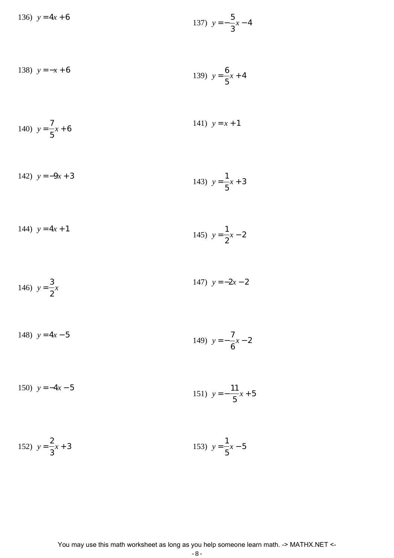136) 
$$
y = 4x + 6
$$
  
137)  $y = -\frac{5}{3}x - 4$ 

138) 
$$
y = -x + 6
$$
  
139)  $y = \frac{6}{5}x + 4$ 

140) 
$$
y = \frac{7}{5}x + 6
$$
  
141)  $y = x + 1$ 

142) 
$$
y = -9x + 3
$$
  
143)  $y = \frac{1}{5}x + 3$ 

144) 
$$
y = 4x + 1
$$
  
145)  $y = \frac{1}{2}x - 2$ 

146) 
$$
y = \frac{3}{2}x
$$
 147)  $y = -2x - 2$ 

148) 
$$
y = 4x - 5
$$
  
149)  $y = -\frac{7}{6}x - 2$ 

150) 
$$
y = -4x - 5
$$
  
151)  $y = -\frac{11}{5}x + 5$ 

152) 
$$
y = \frac{2}{3}x + 3
$$
  
153)  $y = \frac{1}{5}x - 5$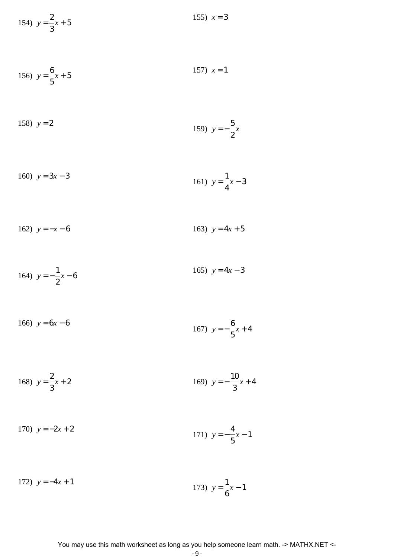154)  $y =$ 2 3 *x* + 5 155)  $x = 3$ 

156) 
$$
y = \frac{6}{5}x + 5
$$
 157)  $x = 1$ 

158) 
$$
y = 2
$$
  
159)  $y = -\frac{5}{2}x$ 

160) 
$$
y = 3x - 3
$$
  
161)  $y = \frac{1}{4}x - 3$ 

162) 
$$
y = -x - 6
$$
 163)  $y = 4x + 5$ 

164) 
$$
y = -\frac{1}{2}x - 6
$$
  
165)  $y = 4x - 3$ 

166) 
$$
y = 6x - 6
$$
  
167)  $y = -\frac{6}{5}x + 4$ 

168) 
$$
y = \frac{2}{3}x + 2
$$
  
169)  $y = -\frac{10}{3}x + 4$ 

170) 
$$
y = -2x + 2
$$
  
171)  $y = -\frac{4}{5}x - 1$ 

172) 
$$
y = -4x + 1
$$
  
173)  $y = \frac{1}{6}x - 1$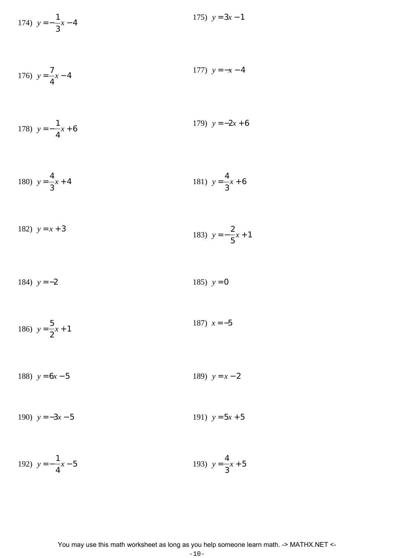174) 
$$
y = -\frac{1}{3}x - 4
$$
 175)  $y = 3x - 1$ 

176) 
$$
y = \frac{7}{4}x - 4
$$
 177)  $y = -x - 4$ 

178) 
$$
y = -\frac{1}{4}x + 6
$$
  
179)  $y = -2x + 6$ 

180) 
$$
y = \frac{4}{3}x + 4
$$
 181)  $y = \frac{4}{3}x + 6$ 

182) 
$$
y = x + 3
$$
  
183)  $y = -\frac{2}{5}x + 1$ 

184) 
$$
y = -2
$$
 185)  $y = 0$ 

186) 
$$
y = \frac{5}{2}x + 1
$$
 187)  $x = -5$ 

188)  $y = 6x - 5$  189)  $y = x - 2$ 

190)  $y = -3x - 5$  191)  $y = 5x + 5$ 

192) 
$$
y = -\frac{1}{4}x - 5
$$
 193)  $y = \frac{4}{3}x + 5$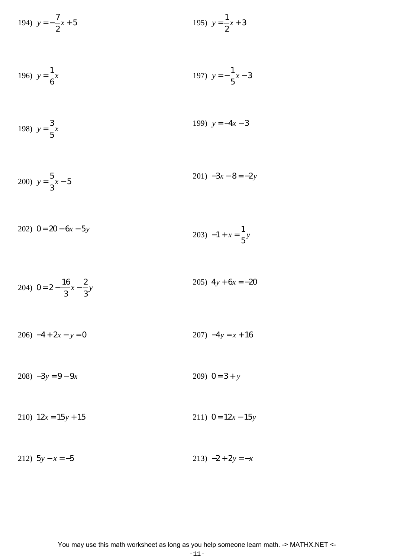194) 
$$
y = -\frac{7}{2}x + 5
$$
 195)  $y = \frac{1}{2}x + 3$ 

196) 
$$
y = \frac{1}{6}x
$$
 197)  $y = -\frac{1}{5}x - 3$ 

198) 
$$
y = \frac{3}{5}x
$$
 199)  $y = -4x - 3$ 

200) 
$$
y = \frac{5}{3}x - 5
$$
  
201)  $-3x - 8 = -2y$ 

$$
202) \quad 0 = 20 - 6x - 5y \tag{203} \quad -1 + x = \frac{1}{5}y
$$

204) 
$$
0 = 2 - \frac{16}{3}x - \frac{2}{3}y
$$
  
205)  $4y + 6x = -20$ 

 $206) -4 + 2x - y = 0$ 207)  $-4y = x + 16$ 

 $208) -3y = 9 - 9x$ 209)  $0 = 3 + y$ 

211)  $0 = 12x - 15y$ 210)  $12x = 15y + 15$ 

212)  $5y - x = -5$ 213)  $-2 + 2y = -x$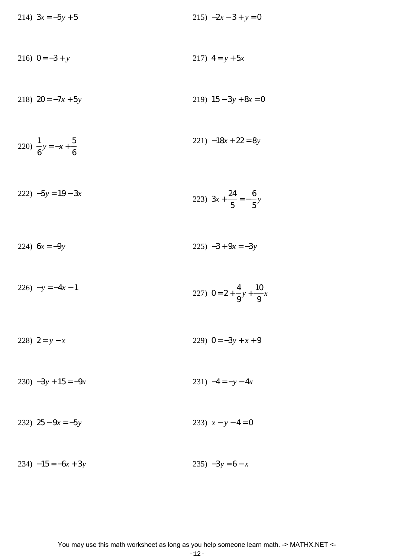214)  $3x = -5y + 5$  $215) -2x - 3 + y = 0$ 216)  $0 = -3 + y$ 217)  $4 = y + 5x$ 218)  $20 = -7x + 5y$ 219)  $15 - 3y + 8x = 0$  $221) -18x + 22 = 8y$ 220)  $\frac{1}{6}y = -x + \frac{5}{6}$  $222$ )  $-5y = 19 - 3x$ 223)  $3x + \frac{24}{5} = -\frac{6}{5}y$  $225) -3 + 9x = -3y$ 224)  $6x = -9y$ 

 $226) -y = -4x - 1$ 227)  $0 = 2 + \frac{4}{9}y + \frac{10}{9}x$ 

229)  $0 = -3y + x + 9$ 228)  $2 = y - x$ 

231)  $-4 = -y - 4x$  $230$ )  $-3y + 15 = -9x$ 

232)  $25 - 9x = -5y$ 233)  $x - y - 4 = 0$ 

 $234) -15 = -6x + 3y$  $235) -3y = 6 - x$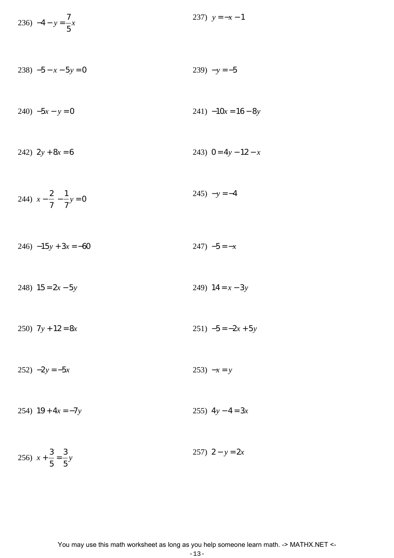236) 
$$
-4 - y = \frac{7}{5}x
$$
 237)  $y = -x - 1$ 

 $238) -5 - x - 5y = 0$ 239)  $-y = -5$ 

$$
240) -5x - y = 0
$$
  
241) -10x = 16 - 8y

$$
242) \ 2y + 8x = 6 \qquad \qquad 243) \ 0 = 4y - 12 - x
$$

244) 
$$
x - \frac{2}{7} - \frac{1}{7}y = 0
$$
 245)  $-y = -4$ 

$$
246) -15y + 3x = -60 \qquad \qquad 247) -5 = -x
$$

248)  $15 = 2x - 5y$ 249)  $14 = x - 3y$ 

 $251) -5 = -2x + 5y$ 250)  $7y + 12 = 8x$ 

 $252) -2y = -5x$ 253)  $-x = y$ 

254)  $19 + 4x = -7y$ 255)  $4y-4=3x$ 

256)  $x + \frac{3}{5} = \frac{3}{5}y$ 257)  $2 - y = 2x$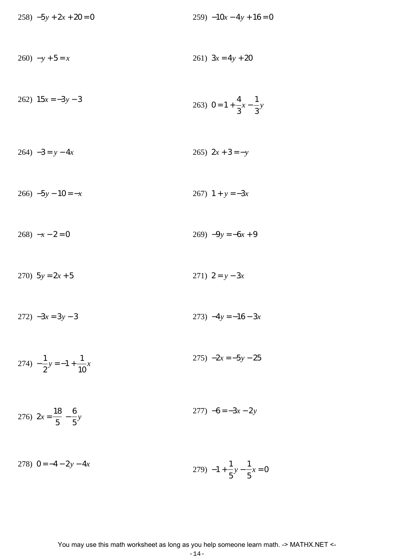$258$ )  $-5y + 2x + 20 = 0$  $259) -10x - 4y + 16 = 0$  $260$ )  $-y+5=x$ 261)  $3x = 4y + 20$ 262)  $15x = -3y - 3$ 263)  $0 = 1 + \frac{4}{3}x - \frac{1}{3}y$  $264) -3 = y - 4x$ 265)  $2x + 3 = -y$  $266) -5y - 10 = -x$ 267)  $1 + y = -3x$  $269$ )  $-9y = -6x + 9$  $268$ )  $-x-2=0$ 270)  $5y = 2x + 5$ 271)  $2 = y - 3x$  $272) -3x = 3y - 3$ 273)  $-4y = -16 - 3x$ 274)  $-\frac{1}{2}y = -1 + \frac{1}{10}x$  $275) -2x = -5y - 25$  $277) -6 = -3x - 2y$ 276)  $2x = \frac{18}{5} - \frac{6}{5}y$ 

278)  $0 = -4 - 2y - 4x$ 279)  $-1 + \frac{1}{5}y - \frac{1}{5}x = 0$ 

$$
-14-
$$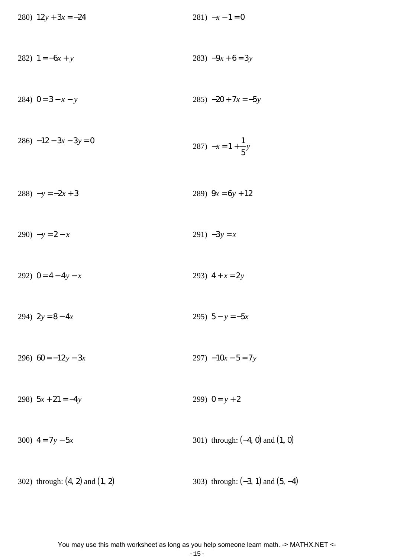280)  $12y + 3x = -24$  281)  $-x - 1 = 0$ 282)  $1 = -6x + y$  283)  $-9x + 6 = 3y$ 284)  $0 = 3 - x - y$  285)  $-20 + 7x = -5y$  $286$ )  $-12 - 3x - 3y = 0$  $287) -x = 1 +$ 1 5 *y* 288)  $-y = -2x + 3$  289)  $9x = 6y + 12$ 290)  $-y = 2 - x$  291)  $-3y = x$ 292)  $0 = 4 - 4y - x$  293)  $4 + x = 2y$ 294)  $2y = 8 - 4x$  295)  $5 - y = -5x$ 296)  $60 = -12y - 3x$  297)  $-10x - 5 = 7y$ 298)  $5x + 21 = -4y$  299)  $0 = y + 2$ 300)  $4 = 7y - 5x$  301) through: (-4, 0) and (1, 0)

302) through:  $(4, 2)$  and  $(1, 2)$  303) through:  $(-3, 1)$  and  $(5, -4)$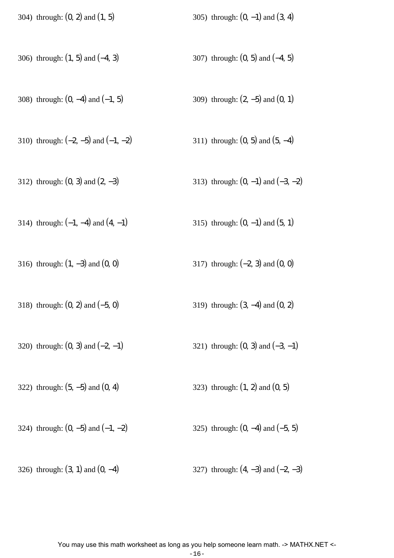304) through:  $(0, 2)$  and  $(1, 5)$  305) through:  $(0, -1)$  and  $(3, 4)$ 

- 306) through:  $(1, 5)$  and  $(-4, 3)$  307) through:  $(0, 5)$  and  $(-4, 5)$
- 308) through:  $(0, -4)$  and  $(-1, 5)$  309) through:  $(2, -5)$  and  $(0, 1)$
- 310) through:  $(-2, -5)$  and  $(-1, -2)$  311) through:  $(0, 5)$  and  $(5, -4)$
- 312) through:  $(0, 3)$  and  $(2, -3)$  313) through:  $(0, -1)$  and  $(-3, -2)$
- 314) through:  $(-1, -4)$  and  $(4, -1)$  315) through:  $(0, -1)$  and  $(5, 1)$
- 316) through: (1, −3) and (0, 0) 317) through: (−2, 3) and (0, 0)
- 318) through: (0, 2) and (−5, 0) 319) through: (3, −4) and (0, 2)
- 320) through:  $(0, 3)$  and  $(-2, -1)$  321) through:  $(0, 3)$  and  $(-3, -1)$
- 322) through:  $(5, -5)$  and  $(0, 4)$  323) through:  $(1, 2)$  and  $(0, 5)$
- 324) through:  $(0, -5)$  and  $(-1, -2)$  325) through:  $(0, -4)$  and  $(-5, 5)$
- 326) through:  $(3, 1)$  and  $(0, -4)$  327) through:  $(4, -3)$  and  $(-2, -3)$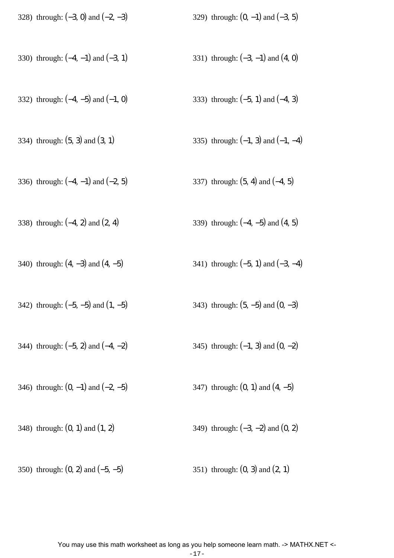| 328) through: $(-3, 0)$ and $(-2, -3)$ | 329) through: $(0, -1)$ and $(-3, 5)$  |
|----------------------------------------|----------------------------------------|
| 330) through: $(-4, -1)$ and $(-3, 1)$ | 331) through: $(-3, -1)$ and $(4, 0)$  |
| 332) through: $(-4, -5)$ and $(-1, 0)$ | 333) through: $(-5, 1)$ and $(-4, 3)$  |
| 334) through: $(5, 3)$ and $(3, 1)$    | 335) through: $(-1, 3)$ and $(-1, -4)$ |
| 336) through: $(-4, -1)$ and $(-2, 5)$ | 337) through: $(5, 4)$ and $(-4, 5)$   |
| 338) through: $(-4, 2)$ and $(2, 4)$   | 339) through: $(-4, -5)$ and $(4, 5)$  |
| 340) through: $(4, -3)$ and $(4, -5)$  | 341) through: $(-5, 1)$ and $(-3, -4)$ |
| 342) through: $(-5, -5)$ and $(1, -5)$ | 343) through: $(5, -5)$ and $(0, -3)$  |

- 344) through:  $(-5, 2)$  and  $(-4, -2)$  345) through:  $(-1, 3)$  and  $(0, -2)$
- 346) through:  $(0, -1)$  and  $(-2, -5)$  347) through:  $(0, 1)$  and  $(4, -5)$
- 348) through:  $(0, 1)$  and  $(1, 2)$  349) through:  $(-3, -2)$  and  $(0, 2)$
- 350) through:  $(0, 2)$  and  $(-5, -5)$  351) through:  $(0, 3)$  and  $(2, 1)$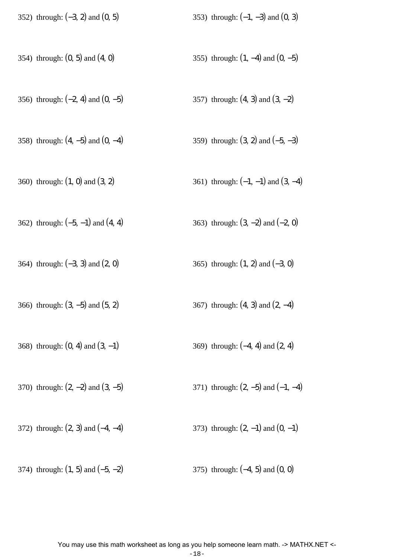| 352) through: $(-3, 2)$ and $(0, 5)$  | 353) through: $(-1, -3)$ and $(0, 3)$  |
|---------------------------------------|----------------------------------------|
| 354) through: $(0, 5)$ and $(4, 0)$   | 355) through: $(1, -4)$ and $(0, -5)$  |
| 356) through: $(-2, 4)$ and $(0, -5)$ | 357) through: $(4, 3)$ and $(3, -2)$   |
| 358) through: $(4, -5)$ and $(0, -4)$ | 359) through: $(3, 2)$ and $(-5, -3)$  |
| 360) through: $(1, 0)$ and $(3, 2)$   | 361) through: $(-1, -1)$ and $(3, -4)$ |
| 362) through: $(-5, -1)$ and $(4, 4)$ | 363) through: $(3, -2)$ and $(-2, 0)$  |
| 364) through: $(-3, 3)$ and $(2, 0)$  | 365) through: $(1, 2)$ and $(-3, 0)$   |
| 366) through: $(3, -5)$ and $(5, 2)$  | 367) through: $(4, 3)$ and $(2, -4)$   |
| 368) through: $(0, 4)$ and $(3, -1)$  | 369) through: $(-4, 4)$ and $(2, 4)$   |
| 370) through: $(2, -2)$ and $(3, -5)$ | 371) through: $(2, -5)$ and $(-1, -4)$ |
| 372) through: $(2, 3)$ and $(-4, -4)$ | 373) through: $(2, -1)$ and $(0, -1)$  |
| 374) through: $(1, 5)$ and $(-5, -2)$ | 375) through: $(-4, 5)$ and $(0, 0)$   |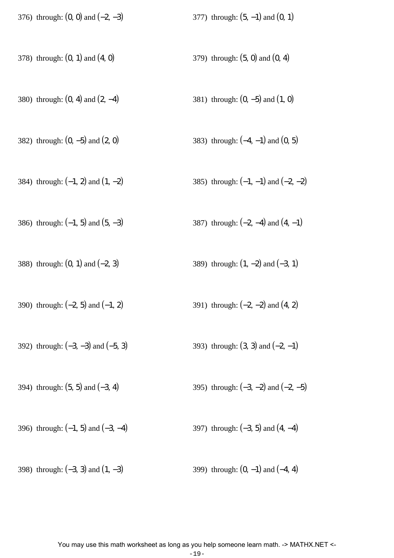| 376) through: $(0, 0)$ and $(-2, -3)$  | 377) through: $(5, -1)$ and $(0, 1)$    |
|----------------------------------------|-----------------------------------------|
| 378) through: $(0, 1)$ and $(4, 0)$    | 379) through: $(5, 0)$ and $(0, 4)$     |
| 380) through: $(0, 4)$ and $(2, -4)$   | 381) through: $(0, -5)$ and $(1, 0)$    |
| 382) through: $(0, -5)$ and $(2, 0)$   | 383) through: $(-4, -1)$ and $(0, 5)$   |
| 384) through: $(-1, 2)$ and $(1, -2)$  | 385) through: $(-1, -1)$ and $(-2, -2)$ |
| 386) through: $(-1, 5)$ and $(5, -3)$  | 387) through: $(-2, -4)$ and $(4, -1)$  |
| 388) through: $(0, 1)$ and $(-2, 3)$   | 389) through: $(1, -2)$ and $(-3, 1)$   |
| 390) through: $(-2, 5)$ and $(-1, 2)$  | 391) through: $(-2, -2)$ and $(4, 2)$   |
| 392) through: $(-3, -3)$ and $(-5, 3)$ | 393) through: $(3, 3)$ and $(-2, -1)$   |
| 394) through: $(5, 5)$ and $(-3, 4)$   | 395) through: $(-3, -2)$ and $(-2, -5)$ |
| 396) through: $(-1, 5)$ and $(-3, -4)$ | 397) through: $(-3, 5)$ and $(4, -4)$   |
| 398) through: $(-3, 3)$ and $(1, -3)$  | 399) through: $(0, -1)$ and $(-4, 4)$   |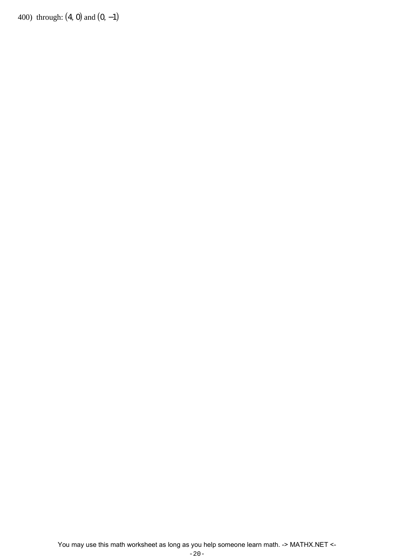400) through:  $(4, 0)$  and  $(0, -1)$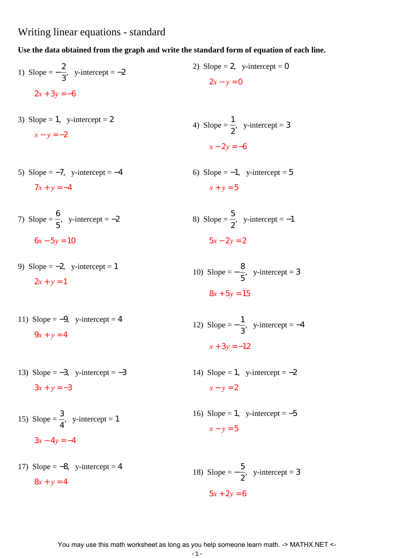## Writing linear equations - standard

## **Use the data obtained from the graph and write the standard form of equation of each line.**

1) Slope = 
$$
-\frac{2}{3}
$$
, y-intercept = -2  
2) Slope = 2, y-intercept = 0  
 $2x + 3y = -6$   
2x + 3y = -6

- 3) Slope = 1, y-intercept =  $2$  $x - y = -2$
- 5) Slope  $=-7$ , y-intercept  $=-4$  $7x + y = -4$
- 7) Slope  $=$ 6 5  $,$  y-intercept =  $-2$  $6x - 5y = 10$
- 9) Slope  $=-2$ , y-intercept = 1  $2x + y = 1$
- 11) Slope =  $-9$ , y-intercept = 4  $9x + y = 4$
- 13) Slope =  $-3$ , y-intercept =  $-3$  $3x + y = -3$
- 15) Slope  $=$ 3 4  $,$  y-intercept = 1  $3x - 4y = -4$
- 17) Slope  $=-8$ , y-intercept  $=4$  $8x + y = 4$

4) Slope = 
$$
\frac{1}{2}
$$
, y-intercept = 3  

$$
x - 2y = -6
$$

$$
\mathcal{L}^{\mathcal{L}}(\mathcal{L}^{\mathcal{L}}(\mathcal{L}))
$$

- 6) Slope  $=-1$ , y-intercept = 5  $x + y = 5$
- 8) Slope  $=$ 5 2  $,$  y-intercept =  $-1$  $5x - 2y = 2$
- 10) Slope  $=-$ 8 5  $,$  y-intercept = 3  $8x + 5y = 15$

12) Slope = 
$$
-\frac{1}{3}
$$
, y-intercept = -4  

$$
x + 3y = -12
$$

- 14) Slope = 1, y-intercept =  $-2$  $x - y = 2$
- 16) Slope = 1, y-intercept =  $-5$  $x - y = 5$

18) Slope = 
$$
-\frac{5}{2}
$$
, y-intercept = 3  
5x + 2y = 6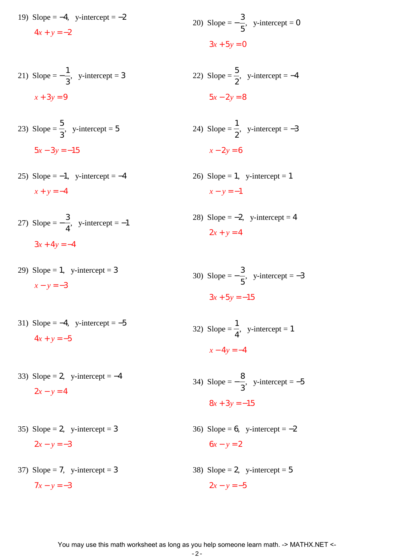19) Slope =  $-4$ , y-intercept =  $-2$  $4x + y = -2$ 

21) Slope = 
$$
-\frac{1}{3}
$$
, y-intercept = 3  
 $x + 3y = 9$ 

- 23) Slope  $=$ 5 3  $,$  y-intercept = 5  $5x - 3y = -15$
- 25) Slope =  $-1$ , y-intercept =  $-4$  $x + y = -4$
- 27) Slope  $=-$ 3 4  $,$  y-intercept =  $-1$  $3x + 4y = -4$
- 29) Slope = 1, y-intercept = 3  $x - y = -3$
- 31) Slope =  $-4$ , y-intercept =  $-5$  $4x + y = -5$
- 33) Slope = 2, y-intercept =  $-4$  $2x - y = 4$
- 35) Slope = 2, y-intercept = 3  $2x - y = -3$
- 37) Slope = 7, y-intercept = 3  $7x - y = -3$
- 20) Slope  $=-$ 3 5  $,$  y-intercept = 0  $3x + 5y = 0$
- 22) Slope  $=$ 5 2  $,$  y-intercept =  $-4$  $5x - 2y = 8$

24) Slope = 
$$
\frac{1}{2}
$$
, y-intercept = -3  
 $x - 2y = 6$ 

- 26) Slope = 1, y-intercept = 1  $x - y = -1$
- 28) Slope =  $-2$ , y-intercept = 4  $2x + y = 4$
- 30) Slope  $=-$ 3 5  $,$  y-intercept =  $-3$  $3x + 5y = -15$
- $32)$  Slope = 1 4  $,$  y-intercept = 1  $x - 4y = -4$
- $34)$  Slope =  $-$ 8 3  $,$  y-intercept =  $-5$  $8x + 3y = -15$
- 36) Slope = 6, y-intercept =  $-2$  $6x - y = 2$
- 38) Slope = 2, y-intercept =  $5$  $2x - y = -5$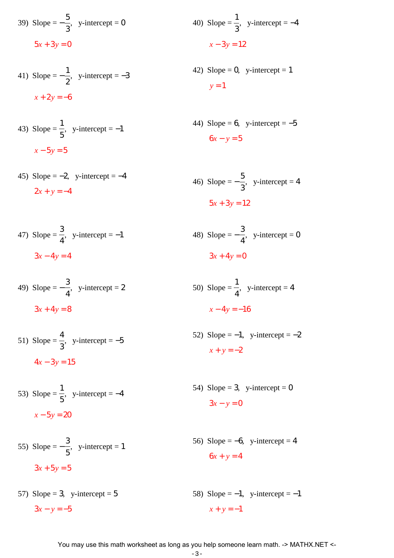39) Slope = 
$$
-\frac{5}{3}
$$
, y-intercept = 0  
5x + 3y = 0

41) Slope = 
$$
-\frac{1}{2}
$$
, y-intercept = -3  
 $x + 2y = -6$ 

43) Slope = 
$$
\frac{1}{5}
$$
, y-intercept = -1  
 $x - 5y = 5$ 

45) Slope =  $-2$ , y-intercept =  $-4$  $2x + y = -4$ 

47) Slope = 
$$
\frac{3}{4}
$$
, y-intercept = -1  
3x - 4y = 4

49) Slope = − 3 4  $,$  y-intercept = 2  $3x + 4y = 8$ 

51) Slope = 
$$
\frac{4}{3}
$$
, y-intercept = -5  
  $4x - 3y = 15$ 

53) Slope  $=$ 1 5  $,$  y-intercept =  $-4$  $x - 5y = 20$ 

55) Slope = 
$$
-\frac{3}{5}
$$
, y-intercept = 1  

$$
3x + 5y = 5
$$

57) Slope = 3, y-intercept =  $5$  $3x - y = -5$ 58) Slope =  $-1$ , y-intercept =  $-1$  $x + y = -1$ 

40) Slope = 
$$
\frac{1}{3}
$$
, y-intercept = -4  

$$
x - 3y = 12
$$

- 42) Slope = 0, y-intercept = 1  $y = 1$
- 44) Slope = 6, y-intercept =  $-5$  $6x - y = 5$

46) Slope = 
$$
-\frac{5}{3}
$$
, y-intercept = 4  
5x + 3y = 12

48) Slope = − 3 4  $,$  y-intercept = 0  $3x + 4y = 0$ 

50) Slope = 
$$
\frac{1}{4}
$$
, y-intercept = 4  

$$
x - 4y = -16
$$

- 52) Slope =  $-1$ , y-intercept =  $-2$  $x + y = -2$
- 54) Slope = 3, y-intercept =  $0$  $3x - y = 0$
- 56) Slope =  $-6$ , y-intercept = 4  $6x + y = 4$
-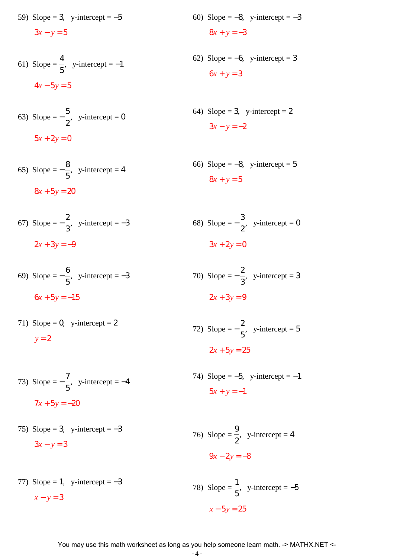59) Slope = 3, y-intercept =  $-5$ 

 $3x - y = 5$ 

61) Slope = 
$$
\frac{4}{5}
$$
, y-intercept = -1  
  $4x - 5y = 5$ 

63) Slope = 
$$
-\frac{5}{2}
$$
, y-intercept = 0  
5x + 2y = 0

$$
65) \text{ Slope} = -\frac{8}{5}, \text{ y-intercept} = 4
$$

$$
8x + 5y = 20
$$

67) Slope = 
$$
-\frac{2}{3}
$$
, y-intercept = -3  
2x + 3y = -9  
68) Slope =  $-\frac{3}{2}$ , y-intercept =  $3x + 2y = 0$ 

69) Slope = 
$$
-\frac{6}{5}
$$
, y-intercept = -3  
6x + 5y = -15  
  
 $2x + 3y = 9$   
  
 $2x + 3y = 9$ 

71) Slope = 0, y-intercept = 2  $y = 2$ 

72) Slope  $=-$ 2 5  $,$  y-intercept = 5

$$
2x + 5y = 25
$$

74) Slope =  $-5$ , y-intercept =  $-1$  $5x + y = -1$ 

> 9 2

 $9x - 2y = -8$ 

 $,$  y-intercept = 4

- 76) Slope =
- 77) Slope = 1, y-intercept =  $-3$  $x - y = 3$ 78) Slope  $=$ 1 5  $,$  y-intercept =  $-5$ *x* − 5*y* = 25
	- You may use this math worksheet as long as you help someone learn math. -> MATHX.NET <-
- 60) Slope =  $-8$ , y-intercept =  $-3$  $8x + y = -3$
- 62) Slope =  $-6$ , y-intercept = 3  $6x + y = 3$
- 64) Slope = 3, y-intercept =  $2$  $3x - y = -2$
- 66) Slope =  $-8$ , y-intercept = 5  $8x + y = 5$
- $,$  y-intercept = 0  $3x + 2y = 0$

- 
- 73) Slope = − 7 5  $,$  y-intercept =  $-4$
- 75) Slope = 3, y-intercept =  $-3$  $3x - y = 3$
- $7x + 5y = -20$ 
	-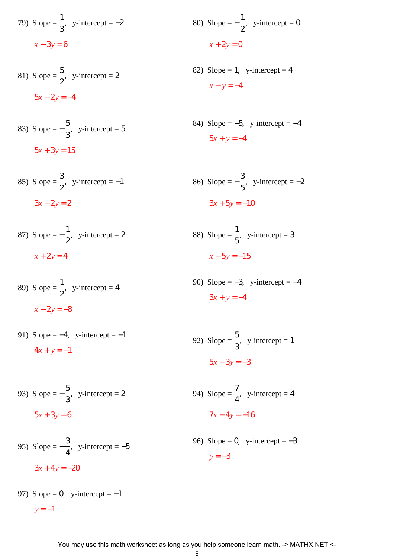79) Slope = 
$$
\frac{1}{3}
$$
, y-intercept = -2  
 $x - 3y = 6$ 

81) Slope = 
$$
\frac{5}{2}
$$
, y-intercept = 2  

$$
5x - 2y = -4
$$

83) Slope = 
$$
-\frac{5}{3}
$$
, y-intercept = 5

$$
5x + 3y = 15
$$

85) Slope = 
$$
\frac{3}{2}
$$
, y-intercept = -1  
  $3x - 2y = 2$    
  $3x + 5y = -10$ 

87) Slope = 
$$
-\frac{1}{2}
$$
, y-intercept = 2  
 $x + 2y = 4$ 

89) Slope = 1 2  $,$  y-intercept = 4  $x - 2y = -8$ 

91) Slope = -4, y-intercept = -1  

$$
4x + y = -1
$$

93) Slope = 
$$
-\frac{5}{3}
$$
, y-intercept = 2  
5x + 3y = 6

95) Slope = 
$$
-\frac{3}{4}
$$
, y-intercept = -5  
3x + 4y = -20

97) Slope = 0, y-intercept = 
$$
-1
$$
  
 $y = -1$ 

80) Slope = 
$$
-\frac{1}{2}
$$
, y-intercept = 0  
 $x + 2y = 0$ 

82) Slope = 1, y-intercept = 4  $x - y = -4$ 

84) Slope = -5, y-intercept = -4  

$$
5x + y = -4
$$

86) Slope = 
$$
-\frac{3}{5}
$$
, y-intercept = -2  
  $3x + 5y = -10$ 

88) Slope  $=$ 1 5  $,$  y-intercept = 3  $x - 5y = -15$ 

90) Slope =  $-3$ , y-intercept =  $-4$  $3x + y = -4$ 

92) Slope = 
$$
\frac{5}{3}
$$
, y-intercept = 1  

$$
5x - 3y = -3
$$

94) Slope = 
$$
\frac{7}{4}
$$
, y-intercept = 4  

$$
7x - 4y = -16
$$

96) Slope = 0, y-intercept =  $-3$  $y = -3$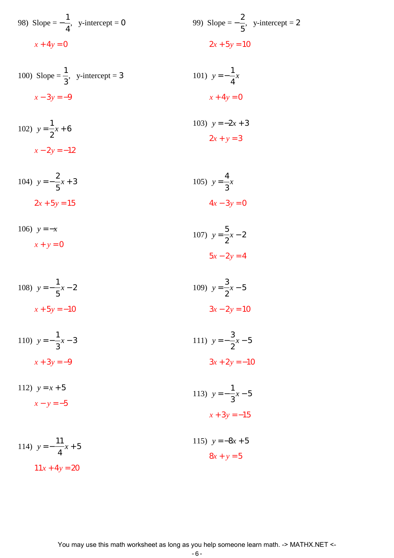98) Slope = 
$$
-\frac{1}{4}
$$
, y-intercept = 0  
  
 $x + 4y = 0$   
  
99) Slope =  $-\frac{2}{5}$ , y-intercept = 2  
  
 $2x + 5y = 10$ 

100) Slope = 
$$
\frac{1}{3}
$$
, y-intercept = 3  
 $x - 3y = -9$   
 $x + 4y = 0$ 

102) 
$$
y = \frac{1}{2}x + 6
$$
  
103)  $y = -2x + 3$   
 $x - 2y = -12$   
103)  $y = -2x + 3$   
 $2x + y = 3$ 

104) 
$$
y = -\frac{2}{5}x + 3
$$
  
2x + 5y = 15  
2x + 6y = 15  
2x + 3y = 0

106) 
$$
y = -x
$$
  
\n $x + y = 0$   
\n107)  $y = \frac{5}{2}x - 2$   
\n $5x - 2y = 4$ 

108) 
$$
y = -\frac{1}{5}x - 2
$$
  
\n $x + 5y = -10$   
\n109)  $y = \frac{3}{2}x - 5$   
\n $3x - 2y = 10$ 

110) 
$$
y = -\frac{1}{3}x - 3
$$
  
\n $x + 3y = -9$   
\n111)  $y = -\frac{3}{2}x - 5$   
\n $3x + 2y = -10$ 

112) 
$$
y = x + 5
$$
  
\n $x - y = -5$   
\n113)  $y = -\frac{1}{3}x - 5$   
\n $x + 3y = -15$ 

114) 
$$
y = -\frac{11}{4}x + 5
$$
  
115)  $y = -8x + 5$   
 $8x + y = 5$   
11x + 4y = 20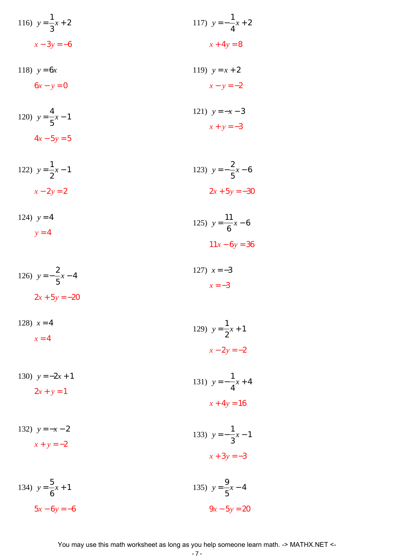116) 
$$
y = \frac{1}{3}x + 2
$$
  
\n $x - 3y = -6$   
\n117)  $y = -\frac{1}{4}x + 2$   
\n $x + 4y = 8$ 

118) 
$$
y = 6x
$$
  
\n $6x - y = 0$   
\n119)  $y = x + 2$   
\n $x - y = -2$ 

120) 
$$
y = \frac{4}{5}x - 1
$$
  
4x - 5y = 5  
121)  $y = -x - 3$   
 $x + y = -3$ 

122) 
$$
y = \frac{1}{2}x - 1
$$
  
\n $x - 2y = 2$   
\n123)  $y = -\frac{2}{5}x - 6$   
\n2x + 5y = -30

124) 
$$
y = 4
$$
  
  $y = 4$   
125)  $y = \frac{11}{6}x - 6$   
  $11x - 6y = 36$ 

126) 
$$
y = -\frac{2}{5}x - 4
$$
  
2x + 5y = -20  
127)  $x = -3$   
 $x = -3$ 

128) 
$$
x = 4
$$
  
\n $x = 4$   
\n129)  $y = \frac{1}{2}x + 1$   
\n $x - 2y = -2$ 

130) 
$$
y = -2x + 1
$$
  
\n2x + y = 1  
\n31)  $y = -\frac{1}{4}x + 4$   
\nx + 4y = 16

132) 
$$
y = -x - 2
$$
  
\n $x + y = -2$   
\n133)  $y = -\frac{1}{3}x - 1$   
\n $x + 3y = -3$ 

134) 
$$
y = \frac{5}{6}x + 1
$$
  
135)  $y = \frac{9}{5}x - 4$   
 $5x - 6y = -6$   
136)  $y = \frac{9}{5}x - 4$   
 $9x - 5y = 20$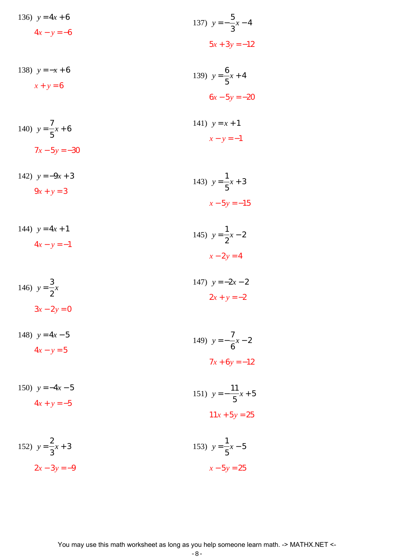136) 
$$
y = 4x + 6
$$
  
\n $4x - y = -6$   
\n138)  $y = -x + 6$   
\n $x + y = 6$   
\n139)  $y = \frac{6}{5}x + 4$   
\n $6x - 5y = -20$ 

140) 
$$
y = \frac{7}{5}x + 6
$$
  
141)  $y = x + 1$   
 $x - y = -1$   
142)  $y = x + 1$   
 $x - y = -1$ 

142) 
$$
y = -9x + 3
$$
  
\n $9x + y = 3$   
\n143)  $y = \frac{1}{5}x + 3$   
\n $x - 5y = -15$ 

144) 
$$
y = 4x + 1
$$
  
\n $4x - y = -1$   
\n145)  $y = \frac{1}{2}x - 2$   
\n $x - 2y = 4$ 

146) 
$$
y = \frac{3}{2}x
$$
  
\n $3x - 2y = 0$   
\n147)  $y = -2x - 2$   
\n $2x + y = -2$ 

148) 
$$
y=4x-5
$$
  
\n $4x - y = 5$   
\n149)  $y = -\frac{7}{6}x - 2$   
\n $7x + 6y = -12$ 

150) 
$$
y = -4x - 5
$$
  
\n $4x + y = -5$   
\n151)  $y = -\frac{11}{5}x + 5$   
\n $11x + 5y = 25$ 

152) 
$$
y = \frac{2}{3}x + 3
$$
  
2x - 3y = -9  
  
153)  $y = \frac{1}{5}x - 5$   
 $x - 5y = 25$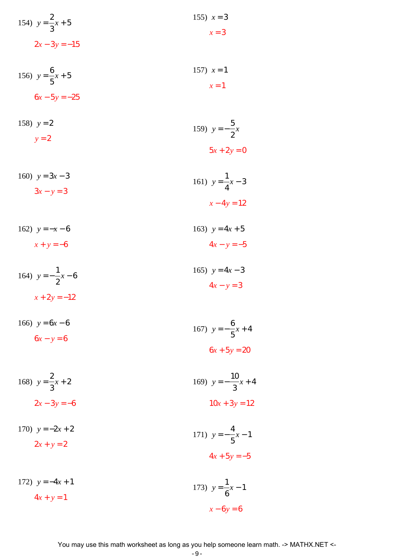154) 
$$
y = \frac{2}{3}x + 5
$$
  
2x-3y = -15  
155) x = 3  
x = 3

156) 
$$
y = \frac{6}{5}x + 5
$$
  
157)  $x = 1$   
 $6x - 5y = -25$ 

158) 
$$
y = 2
$$
  
\n $y = 2$   
\n159)  $y = -\frac{5}{2}x$   
\n $5x + 2y = 0$ 

160) 
$$
y = 3x - 3
$$
  
\n $3x - y = 3$   
\n161)  $y = \frac{1}{4}x - 3$   
\n $x - 4y = 12$ 

162) 
$$
y = -x - 6
$$
  
\n $x + y = -6$   
\n163)  $y = 4x + 5$   
\n $4x - y = -5$ 

164) 
$$
y = -\frac{1}{2}x - 6
$$
  
165)  $y = 4x - 3$   
 $4x - y = 3$   
 $4x - y = 3$ 

166) 
$$
y = 6x - 6
$$
  
\n $6x - y = 6$   
\n167)  $y = -\frac{6}{5}x + 4$   
\n $6x + 5y = 20$ 

168) 
$$
y = \frac{2}{3}x + 2
$$
  
2x - 3y = -6  
10x + 3y = 12

170) 
$$
y = -2x + 2
$$
  
\n $2x + y = 2$   
\n171)  $y = -\frac{4}{5}x - 1$   
\n $4x + 5y = -5$ 

172) 
$$
y = -4x + 1
$$
  
\n $4x + y = 1$   
\n173)  $y = \frac{1}{6}x - 1$   
\n $x - 6y = 6$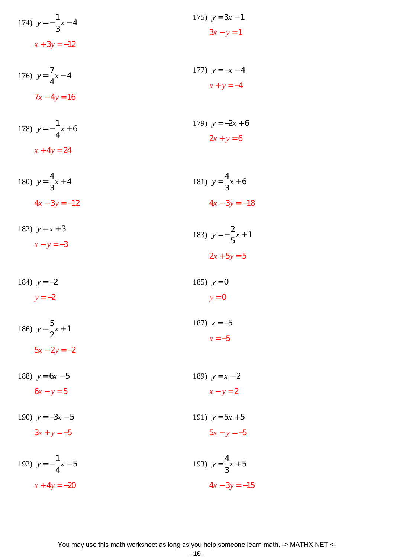174) 
$$
y = -\frac{1}{3}x - 4
$$
  
\n $x + 3y = -12$   
\n175)  $y = 3x - 1$   
\n $3x - y = 1$ 

176) 
$$
y = \frac{7}{4}x - 4
$$
  
177)  $y = -x - 4$   
 $x + y = -4$   
178)  $y = -x - 4$ 

178) 
$$
y = -\frac{1}{4}x + 6
$$
  
179)  $y = -2x + 6$   
 $x + 4y = 24$   
179)  $y = -2x + 6$   
2x + y = 6

180) 
$$
y = \frac{4}{3}x + 4
$$
  
4x - 3y = -12  
4x - 3y = -12  
4x - 3y = -18

182) 
$$
y = x + 3
$$
  
\n $x - y = -3$   
\n183)  $y = -\frac{2}{5}x + 1$   
\n $2x + 5y = 5$ 

184) 
$$
y = -2
$$
  
  $y = -2$   
185)  $y = 0$   
  $y = 0$ 

186) 
$$
y = \frac{5}{2}x + 1
$$
  
187)  $x = -5$   
 $x = -5$   
 $x = -5$ 

188)  $y = 6x - 5$  $6x - y = 5$ 189)  $y = x - 2$  $x - y = 2$ 

190)  $y = -3x - 5$  $3x + y = -5$ 191)  $y = 5x + 5$  $5x - y = -5$ 

192) 
$$
y = -\frac{1}{4}x - 5
$$
  
\n $x + 4y = -20$   
\n193)  $y = \frac{4}{3}x + 5$   
\n $4x - 3y = -15$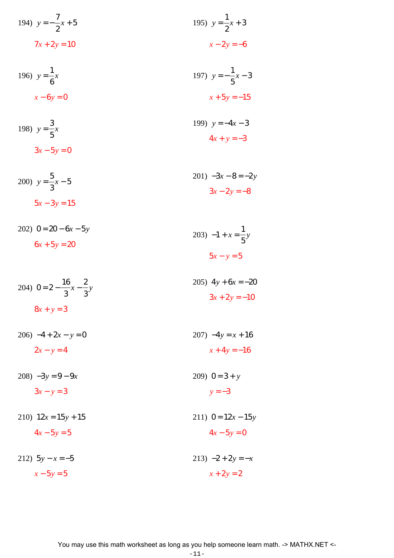194) 
$$
y = -\frac{7}{2}x + 5
$$
  
195)  $y = \frac{1}{2}x + 3$   
 $7x + 2y = 10$   
 $x - 2y = -6$ 

196) 
$$
y = \frac{1}{6}x
$$
  
\n $x - 6y = 0$   
\n197)  $y = -\frac{1}{5}x - 3$   
\n $x + 5y = -15$ 

198) 
$$
y = \frac{3}{5}x
$$
  
  $3x - 5y = 0$   
  $199$   $y = -4x - 3$   
  $4x + y = -3$ 

200) 
$$
y = \frac{5}{3}x - 5
$$
  
  $3x - 2y = -8$   
  $3x - 2y = -8$ 

202) 
$$
0 = 20 - 6x - 5y
$$
  
\n $6x + 5y = 20$   
\n203)  $-1 + x = \frac{1}{5}y$   
\n $5x - y = 5$ 

204) 
$$
0 = 2 - \frac{16}{3}x - \frac{2}{3}y
$$
  
  $8x + y = 3$   
  $205) 4y + 6x = -20$   
  $3x + 2y = -10$ 

 $206) -4 + 2x - y = 0$  $2x - y = 4$ 

 $208) -3y = 9 - 9x$ 

$$
3x - y = 3
$$

210)  $12x = 15y + 15$  $4x - 5y = 5$ 

$$
212) \quad 5y - x = -5
$$

$$
x - 5y = 5
$$

$$
207) -4y = x + 16
$$

$$
x+4y=-16
$$

$$
209) \quad 0 = 3 + y
$$
\n
$$
y = -3
$$

211) 
$$
0 = 12x - 15y
$$

$$
4x-5y=0
$$

$$
213) -2 + 2y = -x
$$

$$
x + 2y = 2
$$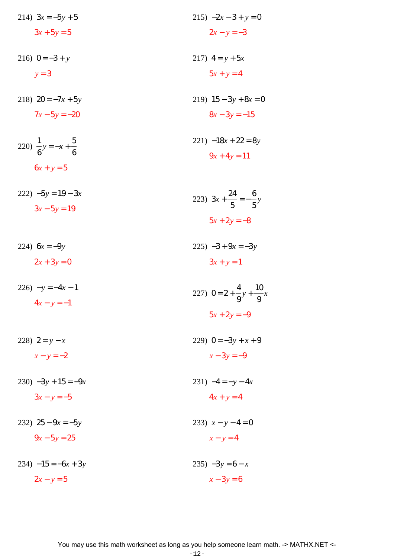214) 
$$
3x = -5y + 5
$$
  
\n $3x + 5y = 5$   
\n215)  $-2x - 3 + y = 0$   
\n $2x - y = -3$   
\n216)  $0 = -3 + y$   
\n $y = 3$   
\n218)  $20 = -7x + 5y$   
\n $7x - 5y = -20$   
\n219)  $15 - 3y + 8x = 0$   
\n $8x - 3y = -15$   
\n220)  $\frac{1}{3}y = -x + \frac{5}{3}$   
\n221)  $-18x + 22 = 8y$ 

6 6 
$$
9x + 4y = 11
$$

 $6x + y = 5$ 

- $222$ )  $-5y = 19 3x$ 223)  $3x + \frac{24}{5} = -\frac{6}{5}y$  $3x - 5y = 19$  $5x + 2y = -8$
- 224)  $6x = -9y$  $225) -3 + 9x = -3y$  $2x + 3y = 0$  $3x + y = 1$
- $226) -y = -4x 1$ 227)  $0 = 2 + \frac{4}{9}y + \frac{10}{9}x$  $4x - y = -1$  $5x + 2y = -9$
- 229)  $0 = -3y + x + 9$ 228)  $2 = y - x$  $x - y = -2$  $x-3y=-9$
- $230$ )  $-3y + 15 = -9x$ 231)  $-4 = -y - 4x$  $3x - y = -5$  $4x + y = 4$
- 232)  $25 9x = -5y$  $9x - 5y = 25$

 $234) -15 = -6x + 3y$ 

$$
2x - y = 5
$$

233)  $x - y - 4 = 0$ 

 $x - y = 4$ 

235)  $-3y = 6 - x$ 

 $x-3y=6$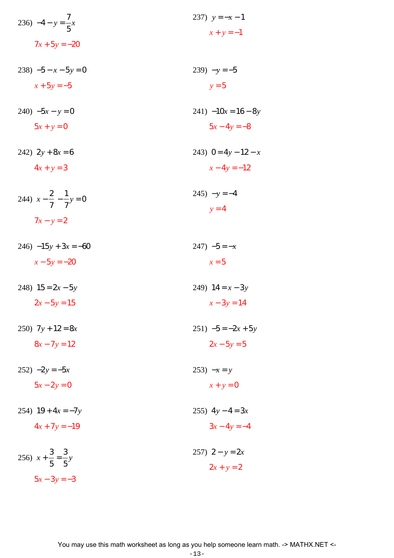| 236) $-4 - y = \frac{7}{5}x$              | 237) $y = -x - 1$        |
|-------------------------------------------|--------------------------|
| $7x + 5y = -20$                           | $x + y = -1$             |
| $238$ ) $-5 - x - 5y = 0$                 | $239) -y = -5$           |
| $x + 5y = -5$                             | $y = 5$                  |
| $240$ ) $-5x - y = 0$                     | $241$ ) $-10x = 16 - 8y$ |
| $5x + y = 0$                              | $5x - 4y = -8$           |
| 242) $2y+8x=6$                            | 243) $0 = 4y - 12 - x$   |
| $4x + y = 3$                              | $x-4y=-12$               |
| 244) $x - \frac{2}{7} - \frac{1}{7}y = 0$ | $245) - y = -4$          |
| $7x - y = 2$                              | $y = 4$                  |
| $246) -15y + 3x = -60$                    | $247) -5 = -x$           |
| $x - 5y = -20$                            | $x = 5$                  |
| 248) $15 = 2x - 5y$                       | 249) $14 = x - 3y$       |
| $2x - 5y = 15$                            | $x - 3y = 14$            |
| 250) $7y + 12 = 8x$                       | $251) -5 = -2x + 5y$     |
| $8x - 7y = 12$                            | $2x - 5y = 5$            |
| $252) -2y = -5x$                          | $253) -x = y$            |
| $5x - 2y = 0$                             | $x + y = 0$              |
| 254) $19 + 4x = -7y$                      | 255) $4y - 4 = 3x$       |
| $4x + 7y = -19$                           | $3x - 4y = -4$           |
| 256) $x + \frac{3}{5} = \frac{3}{5}y$     | 257) $2 - y = 2x$        |
| $5x - 3y = -3$                            | $2x + y = 2$             |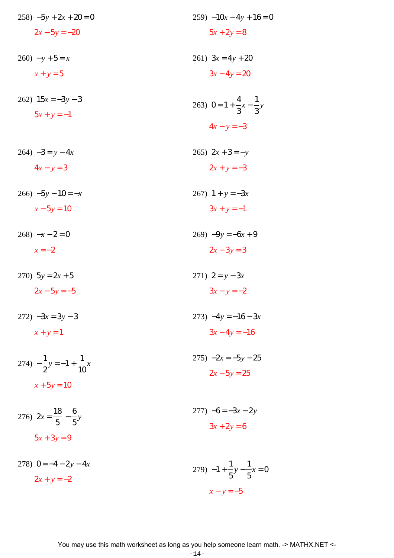| $258$ ) $-5y + 2x + 20 = 0$               | $259$ ) $-10x - 4y + 16 = 0$               |
|-------------------------------------------|--------------------------------------------|
| $2x - 5y = -20$                           | $5x + 2y = 8$                              |
| $260$ ) $-y+5=x$                          | 261) $3x = 4y + 20$                        |
| $x + y = 5$                               | $3x - 4y = 20$                             |
| 262) $15x = -3y - 3$                      | 263) $0 = 1 + \frac{4}{3}x - \frac{1}{3}y$ |
| $5x + y = -1$                             | $4x - y = -3$                              |
| $264) -3 = y - 4x$                        | 265) $2x + 3 = -y$                         |
| $4x - y = 3$                              | $2x + y = -3$                              |
| $266$ ) $-5y - 10 = -x$                   | 267) $1 + y = -3x$                         |
| $x - 5y = 10$                             | $3x + y = -1$                              |
| $268) -x - 2 = 0$                         | $269$ ) $-9y = -6x + 9$                    |
| $x=-2$                                    | $2x - 3y = 3$                              |
| 270) $5y = 2x + 5$                        | 271) $2 = y - 3x$                          |
| $2x - 5y = -5$                            | $3x - y = -2$                              |
| $272) -3x = 3y - 3$                       | 273) $-4y = -16 - 3x$                      |
| $x + y = 1$                               | $3x-4y=-16$                                |
| 274) $-\frac{1}{2}y = -1 + \frac{1}{10}x$ | $275) -2x = -5y - 25$                      |
| $x + 5y = 10$                             | $2x - 5y = 25$                             |
| 276) $2x = \frac{18}{5} - \frac{6}{5}y$   | $277) -6 = -3x - 2y$                       |
| $5x + 3y = 9$                             | $3x + 2y = 6$                              |

278)  $0 = -4 - 2y - 4x$ 279)  $-1 + \frac{1}{5}y - \frac{1}{5}x = 0$  $2x + y = -2$  $x - y = -5$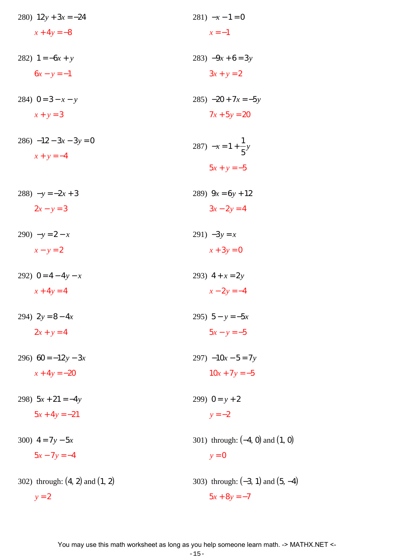| 280) $12y + 3x = -24$               | $281) -x - 1 = 0$                     |
|-------------------------------------|---------------------------------------|
| $x + 4y = -8$                       | $x=-1$                                |
| 282) $1 = -6x + y$                  | 283) $-9x+6=3y$                       |
| $6x - y = -1$                       | $3x + y = 2$                          |
| 284) $0 = 3 - x - y$                | $285) -20 + 7x = -5y$                 |
| $x + y = 3$                         | $7x + 5y = 20$                        |
| $286)$ $-12 - 3x - 3y = 0$          |                                       |
| $x + y = -4$                        | 287) $-x = 1 + \frac{1}{5}y$          |
|                                     | $5x + y = -5$                         |
| $288$ ) $-y = -2x + 3$              | 289) $9x = 6y + 12$                   |
| $2x - y = 3$                        | $3x - 2y = 4$                         |
| $290) -y = 2 - x$                   | 291) $-3y = x$                        |
| $x - y = 2$                         | $x+3y=0$                              |
| 292) $0 = 4 - 4y - x$               | 293) $4 + x = 2y$                     |
| $x+4y=4$                            | $x - 2y = -4$                         |
| 294) $2y = 8 - 4x$                  | 295) $5 - y = -5x$                    |
| $2x + y = 4$                        | $5x - y = -5$                         |
| 296) $60 = -12y - 3x$               | $297) -10x - 5 = 7y$                  |
| $x + 4y = -20$                      | $10x + 7y = -5$                       |
| 298) $5x + 21 = -4y$                | 299) $0 = y + 2$                      |
| $5x + 4y = -21$                     | $y = -2$                              |
| 300) $4 = 7y - 5x$                  | 301) through: $(-4, 0)$ and $(1, 0)$  |
| $5x - 7y = -4$                      | $y = 0$                               |
| 302) through: $(4, 2)$ and $(1, 2)$ | 303) through: $(-3, 1)$ and $(5, -4)$ |
| $y = 2$                             | $5x + 8y = -7$                        |
|                                     |                                       |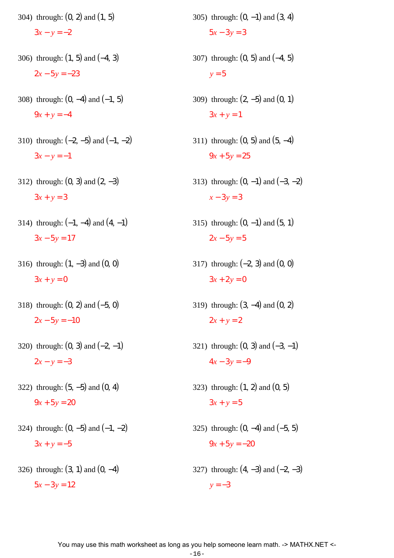304) through: (0, 2) and (1, 5)  $3x - y = -2$ 306) through: (1, 5) and (−4, 3)

 $2x - 5y = -23$ 

- 308) through:  $(0, -4)$  and  $(-1, 5)$  $9x + y = -4$
- 310) through:  $(-2, -5)$  and  $(-1, -2)$  $3x - y = -1$
- 312) through:  $(0, 3)$  and  $(2, -3)$  $3x + y = 3$
- 314) through:  $(-1, -4)$  and  $(4, -1)$  $3x - 5y = 17$
- 316) through: (1, −3) and (0, 0)  $3x + y = 0$
- 318) through: (0, 2) and (−5, 0)  $2x - 5y = -10$
- 320) through:  $(0, 3)$  and  $(-2, -1)$  $2x - y = -3$
- 322) through: (5, −5) and (0, 4)  $9x + 5y = 20$
- 324) through:  $(0, -5)$  and  $(-1, -2)$  $3x + y = -5$
- 326) through:  $(3, 1)$  and  $(0, -4)$  $5x - 3y = 12$
- 305) through:  $(0, -1)$  and  $(3, 4)$  $5x - 3y = 3$
- 307) through: (0, 5) and (−4, 5)  $y = 5$
- 309) through: (2, −5) and (0, 1)  $3x + y = 1$
- 311) through: (0, 5) and (5, −4)  $9x + 5y = 25$
- 313) through:  $(0, -1)$  and  $(-3, -2)$ *x* − 3*y* = 3
- 315) through:  $(0, -1)$  and  $(5, 1)$  $2x - 5y = 5$
- 317) through: (−2, 3) and (0, 0)  $3x + 2y = 0$
- 319) through: (3, −4) and (0, 2)  $2x + y = 2$
- 321) through:  $(0, 3)$  and  $(-3, -1)$  $4x - 3y = -9$
- 323) through:  $(1, 2)$  and  $(0, 5)$  $3x + y = 5$
- 325) through: (0, −4) and (−5, 5)  $9x + 5y = -20$
- 327) through:  $(4, -3)$  and  $(-2, -3)$  $y = -3$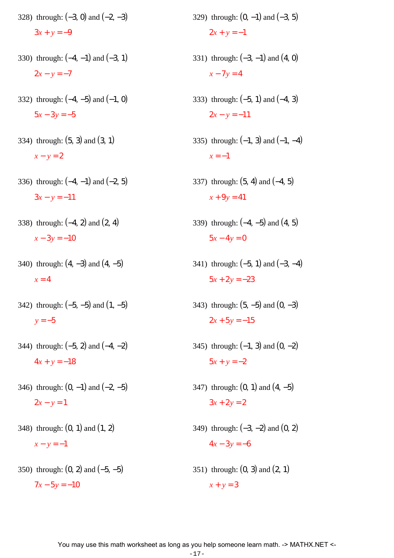- 328) through:  $(-3, 0)$  and  $(-2, -3)$  $3x + y = -9$
- 330) through: (−4, −1) and (−3, 1)  $2x - y = -7$
- 332) through:  $(-4, -5)$  and  $(-1, 0)$  $5x - 3y = -5$
- 334) through: (5, 3) and (3, 1) *x* − *y* = 2
- 336) through:  $(-4, -1)$  and  $(-2, 5)$  $3x - y = -11$
- 338) through: (−4, 2) and (2, 4)  $x - 3y = -10$
- 340) through:  $(4, -3)$  and  $(4, -5)$  $x = 4$
- 342) through:  $(-5, -5)$  and  $(1, -5)$  $y = -5$
- 344) through:  $(-5, 2)$  and  $(-4, -2)$  $4x + y = -18$
- 346) through:  $(0, -1)$  and  $(-2, -5)$  $2x - y = 1$
- 348) through:  $(0, 1)$  and  $(1, 2)$  $x - y = -1$
- 350) through: (0, 2) and (−5, −5)  $7x - 5y = -10$
- 329) through:  $(0, -1)$  and  $(-3, 5)$  $2x + y = -1$
- 331) through:  $(-3, -1)$  and  $(4, 0)$  $x - 7y = 4$
- 333) through: (−5, 1) and (−4, 3)  $2x - y = -11$
- 335) through:  $(-1, 3)$  and  $(-1, -4)$  $x = -1$
- 337) through: (5, 4) and (−4, 5)  $x + 9y = 41$
- 339) through: (−4, −5) and (4, 5)  $5x - 4y = 0$
- 341) through: (−5, 1) and (−3, −4)  $5x + 2y = -23$
- 343) through:  $(5, -5)$  and  $(0, -3)$  $2x + 5y = -15$
- 345) through:  $(-1, 3)$  and  $(0, -2)$  $5x + y = -2$
- 347) through:  $(0, 1)$  and  $(4, -5)$  $3x + 2y = 2$
- 349) through: (−3, −2) and (0, 2)  $4x - 3y = -6$
- 351) through:  $(0, 3)$  and  $(2, 1)$  $x + y = 3$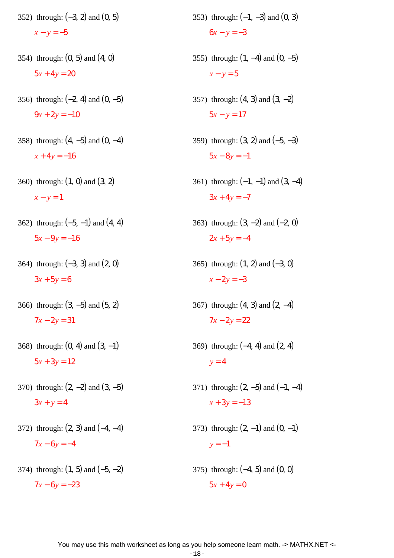- 352) through: (−3, 2) and (0, 5)  $x - y = -5$
- 354) through: (0, 5) and (4, 0)  $5x + 4y = 20$
- 356) through: (−2, 4) and (0, −5)  $9x + 2y = -10$
- 358) through: (4, −5) and (0, −4)  $x + 4y = -16$
- 360) through: (1, 0) and (3, 2)  $x - y = 1$
- 362) through: (−5, −1) and (4, 4)  $5x - 9y = -16$
- 364) through: (−3, 3) and (2, 0)  $3x + 5y = 6$
- 366) through: (3, −5) and (5, 2)  $7x - 2y = 31$
- 368) through:  $(0, 4)$  and  $(3, -1)$  $5x + 3y = 12$
- 370) through: (2, −2) and (3, −5)  $3x + y = 4$
- 372) through: (2, 3) and (−4, −4)  $7x - 6y = -4$
- 374) through:  $(1, 5)$  and  $(-5, -2)$  $7x - 6y = -23$
- 353) through:  $(-1, -3)$  and  $(0, 3)$  $6x - y = -3$
- 355) through:  $(1, -4)$  and  $(0, -5)$  $x - y = 5$
- 357) through:  $(4, 3)$  and  $(3, -2)$  $5x - y = 17$
- 359) through: (3, 2) and (−5, −3)  $5x - 8y = -1$
- 361) through:  $(-1, -1)$  and  $(3, -4)$  $3x + 4y = -7$
- 363) through: (3, −2) and (−2, 0)  $2x + 5y = -4$
- 365) through: (1, 2) and (−3, 0)  $x - 2y = -3$
- 367) through:  $(4, 3)$  and  $(2, -4)$  $7x - 2y = 22$
- 369) through: (−4, 4) and (2, 4)  $y = 4$
- 371) through:  $(2, -5)$  and  $(-1, -4)$  $x + 3y = -13$
- 373) through:  $(2, -1)$  and  $(0, -1)$  $y = -1$
- 375) through: (−4, 5) and (0, 0)  $5x + 4y = 0$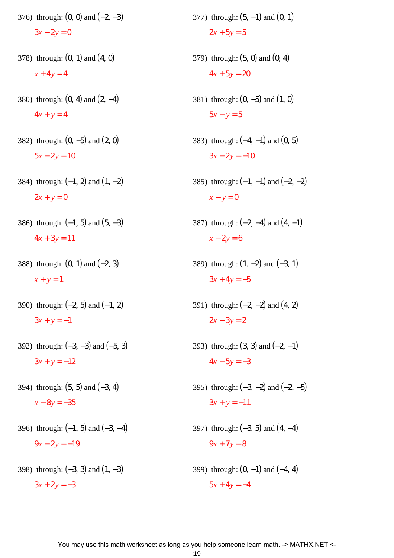- 376) through: (0, 0) and (−2, −3)  $3x - 2y = 0$
- 378) through: (0, 1) and (4, 0)  $x + 4y = 4$
- 380) through: (0, 4) and (2, −4)  $4x + y = 4$
- 382) through: (0, −5) and (2, 0)  $5x - 2y = 10$
- 384) through: (−1, 2) and (1, −2)  $2x + y = 0$
- 386) through: (−1, 5) and (5, −3)  $4x + 3y = 11$
- 388) through: (0, 1) and (−2, 3)  $x + y = 1$
- 390) through:  $(-2, 5)$  and  $(-1, 2)$  $3x + y = -1$
- 392) through: (−3, −3) and (−5, 3)  $3x + y = -12$
- 394) through: (5, 5) and (−3, 4) *x* − 8*y* = −35
- 396) through: (−1, 5) and (−3, −4)  $9x - 2y = -19$
- 398) through: (−3, 3) and (1, −3)  $3x + 2y = -3$
- 377) through: (5, −1) and (0, 1)  $2x + 5y = 5$
- 379) through: (5, 0) and (0, 4)  $4x + 5y = 20$
- 381) through: (0, −5) and (1, 0)  $5x - y = 5$
- 383) through: (−4, −1) and (0, 5)  $3x - 2y = -10$
- 385) through:  $(-1, -1)$  and  $(-2, -2)$  $x - y = 0$
- 387) through: (−2, −4) and (4, −1)  $x - 2y = 6$
- 389) through:  $(1, -2)$  and  $(-3, 1)$  $3x + 4y = -5$
- 391) through: (−2, −2) and (4, 2)  $2x - 3y = 2$
- 393) through:  $(3, 3)$  and  $(-2, -1)$  $4x - 5y = -3$
- 395) through:  $(-3, -2)$  and  $(-2, -5)$  $3x + y = -11$
- 397) through: (−3, 5) and (4, −4)  $9x + 7y = 8$
- 399) through:  $(0, -1)$  and  $(-4, 4)$  $5x + 4y = -4$